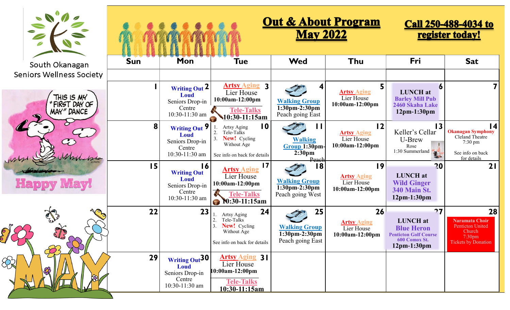| $\frac{1}{2}$<br>Ø                           | <b>Out &amp; About Program</b><br><b>May 2022</b> |                                                                                        |                                                                                                                        |                                                                 |                                                              | <b>Call 250-488-4034 to</b><br>register today!                                                               |                                                                                                                        |
|----------------------------------------------|---------------------------------------------------|----------------------------------------------------------------------------------------|------------------------------------------------------------------------------------------------------------------------|-----------------------------------------------------------------|--------------------------------------------------------------|--------------------------------------------------------------------------------------------------------------|------------------------------------------------------------------------------------------------------------------------|
| South Okanagan                               | <b>Sun</b>                                        | Mon                                                                                    | <b>Tue</b>                                                                                                             | <b>Wed</b>                                                      | Thu                                                          | Fri                                                                                                          | <b>Sat</b>                                                                                                             |
| <b>Seniors Wellness Society</b>              |                                                   |                                                                                        |                                                                                                                        |                                                                 |                                                              |                                                                                                              |                                                                                                                        |
| THIS IS MY<br><b>MAY" DANCE</b><br>$\bullet$ |                                                   | Writing Out 2<br>Loud<br>Seniors Drop-in<br>Centre<br>10:30-11:30 am                   | <b>Artsy Aging 3</b><br>Lier House<br>10:00am-12:00pm<br><b>Tele-Talks</b><br>$\frac{10:30-11:15am}{ }$                | <b>Walking Group</b><br>$1:30pm-2:30pm$<br>Peach going East     | <b>Artsy Aging</b><br>Lier House<br>10:00am-12:00pm          | <b>LUNCH</b> at<br><b>Barley Mill Pub</b><br>2460 Skaha Lake<br>$12pm-1:30pm$                                |                                                                                                                        |
| $\bigodot$                                   | 8                                                 | Writing Out 9<br><b>Loud</b><br>Seniors Drop-in<br>Centre<br>10:30-11:30 am            | $\overline{10}$<br>Artsy Aging<br>Tele-Talks<br>New! Cycling<br>Without Age<br>See info on back for details            | <b>Walking</b><br>Group 1:30pm-<br>2:30 <sub>pm</sub><br>Peach  | 12<br><b>Artsy Aging</b><br>Lier House<br>10:00am-12:00pm    | $\overline{13}$<br>Keller's Cellar<br>U-Brew<br>Rose<br>$1:30$ Summerland                                    | $\overline{14}$<br><b>Okanagan Symphony</b><br>Cleland Theatre<br>$7:30 \text{ pm}$<br>See info on back<br>for details |
| <b>Happy May!</b>                            | 15                                                | 16<br><b>Writing Out</b><br><b>Loud</b><br>Seniors Drop-in<br>Centre<br>10:30-11:30 am | $\overline{17}$<br><b>Artsy Aging</b><br>Lier House<br>10:00am-12:00pm<br><b>Tele-Talks</b><br><b>10:30-11:15am</b>    | 18<br><b>Walking Group</b><br>1:30pm-2:30pm<br>Peach going West | 19<br><b>Artsy Aging</b><br>Lier House<br>10:00am-12:00pm    | 20<br><b>LUNCH</b> at<br><b>Wild Ginger</b><br><b>340 Main St.</b><br>$12pm-1:30pm$                          | 21                                                                                                                     |
| Color                                        | 22                                                | 23                                                                                     | 24<br>Artsy Aging<br>2.<br>Tele-Talks<br>$\overline{3}$<br>New! Cycling<br>Without Age<br>See info on back for details | 25<br><b>Walking Group</b><br>1:30pm-2:30pm<br>Peach going East | 26<br><b>Artsy Aging</b><br>Lier House<br>$10:00$ am-12:00pm | 27<br><b>LUNCH</b> at<br><b>Blue Heron</b><br><b>Penticton Golf Course</b><br>600 Comox St.<br>$12pm-1:30pm$ | 28<br><b>Naramata Choir</b><br><b>Penticton United</b><br>Church<br>7:30pm<br>Tickets by Donation                      |
|                                              | 29                                                | Writing Out <sup>30</sup><br>Loud<br>Seniors Drop-in<br>Centre<br>10:30-11:30 am       | <b>Artsy Aging 31</b><br>Lier House<br>10:00am-12:00pm<br><b>Tele-Talks</b><br>10:30-11:15am                           |                                                                 |                                                              |                                                                                                              |                                                                                                                        |